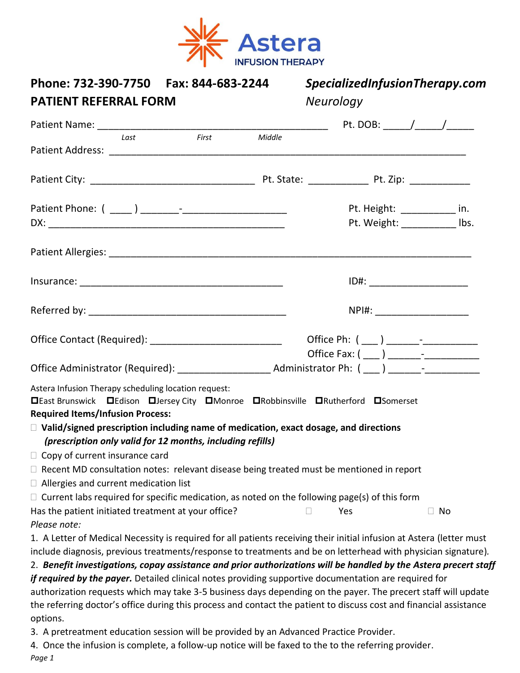

| Phone: 732-390-7750<br>Fax: 844-683-2244<br><b>PATIENT REFERRAL FORM</b>                                                                                                                                                                                                                                                                                |        | SpecializedInfusionTherapy.com<br><b>Neurology</b> |  |  |
|---------------------------------------------------------------------------------------------------------------------------------------------------------------------------------------------------------------------------------------------------------------------------------------------------------------------------------------------------------|--------|----------------------------------------------------|--|--|
|                                                                                                                                                                                                                                                                                                                                                         |        |                                                    |  |  |
| First<br>Last                                                                                                                                                                                                                                                                                                                                           | Middle |                                                    |  |  |
|                                                                                                                                                                                                                                                                                                                                                         |        |                                                    |  |  |
|                                                                                                                                                                                                                                                                                                                                                         |        |                                                    |  |  |
|                                                                                                                                                                                                                                                                                                                                                         |        | Pt. Height: ___________ in.                        |  |  |
|                                                                                                                                                                                                                                                                                                                                                         |        | Pt. Weight: ____________ lbs.                      |  |  |
|                                                                                                                                                                                                                                                                                                                                                         |        |                                                    |  |  |
|                                                                                                                                                                                                                                                                                                                                                         |        |                                                    |  |  |
|                                                                                                                                                                                                                                                                                                                                                         |        | NPI#: _______________________                      |  |  |
| Office Contact (Required): _________________________________                                                                                                                                                                                                                                                                                            |        |                                                    |  |  |
|                                                                                                                                                                                                                                                                                                                                                         |        |                                                    |  |  |
| Astera Infusion Therapy scheduling location request:<br><b>□East Brunswick □Edison □Jersey City □Monroe □Robbinsville □Rutherford □Somerset</b><br><b>Required Items/Infusion Process:</b><br>$\Box$ Valid/signed prescription including name of medication, exact dosage, and directions<br>(prescription only valid for 12 months, including refills) |        |                                                    |  |  |
| $\Box$ Copy of current insurance card                                                                                                                                                                                                                                                                                                                   |        |                                                    |  |  |
| $\Box$ Recent MD consultation notes: relevant disease being treated must be mentioned in report                                                                                                                                                                                                                                                         |        |                                                    |  |  |
| $\Box$ Allergies and current medication list                                                                                                                                                                                                                                                                                                            |        |                                                    |  |  |
| $\Box$ Current labs required for specific medication, as noted on the following page(s) of this form                                                                                                                                                                                                                                                    |        |                                                    |  |  |
| Has the patient initiated treatment at your office?                                                                                                                                                                                                                                                                                                     |        | Yes<br>$\Box$ No                                   |  |  |
| Please note:                                                                                                                                                                                                                                                                                                                                            |        |                                                    |  |  |
| 1. A Letter of Medical Necessity is required for all patients receiving their initial infusion at Astera (letter must                                                                                                                                                                                                                                   |        |                                                    |  |  |
| include diagnosis, previous treatments/response to treatments and be on letterhead with physician signature).                                                                                                                                                                                                                                           |        |                                                    |  |  |
| 2. Benefit investigations, copay assistance and prior authorizations will be handled by the Astera precert staff<br>if required by the payer. Detailed clinical notes providing supportive documentation are required for                                                                                                                               |        |                                                    |  |  |
| authorization requests which may take 3-5 business days depending on the payer. The precert staff will update                                                                                                                                                                                                                                           |        |                                                    |  |  |
| the referring doctor's office during this process and contact the patient to discuss cost and financial assistance                                                                                                                                                                                                                                      |        |                                                    |  |  |
| options.                                                                                                                                                                                                                                                                                                                                                |        |                                                    |  |  |
| 3. A pretreatment education session will be provided by an Advanced Practice Provider.                                                                                                                                                                                                                                                                  |        |                                                    |  |  |
| 4. Once the infusion is complete, a follow-up notice will be faxed to the to the referring provider.                                                                                                                                                                                                                                                    |        |                                                    |  |  |
| Page 1                                                                                                                                                                                                                                                                                                                                                  |        |                                                    |  |  |